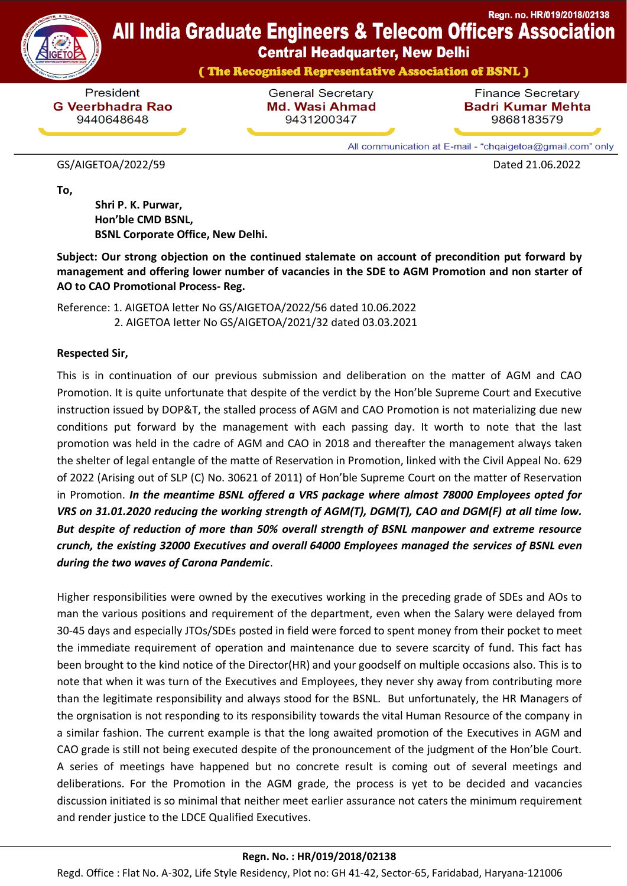

# **All India Graduate Engineers & Telecom Officers Association**

**Central Headquarter, New Delhi** 

(The Recognised Representative Association of BSNL)

President **G Veerbhadra Rao** 9440648648

**General Secretary Md. Wasi Ahmad** 9431200347

**Finance Secretary Badri Kumar Mehta** 9868183579

Regn. no. HR/019/2018/02138

All communication at E-mail - "chqaigetoa@gmail.com" only

#### GS/AIGETOA/2022/59 Dated 21.06.2022

**To,**

 **Shri P. K. Purwar, Hon'ble CMD BSNL, BSNL Corporate Office, New Delhi.**

**Subject: Our strong objection on the continued stalemate on account of precondition put forward by management and offering lower number of vacancies in the SDE to AGM Promotion and non starter of AO to CAO Promotional Process- Reg.**

Reference: 1. AIGETOA letter No GS/AIGETOA/2022/56 dated 10.06.2022 2. AIGETOA letter No GS/AIGETOA/2021/32 dated 03.03.2021

### **Respected Sir,**

This is in continuation of our previous submission and deliberation on the matter of AGM and CAO Promotion. It is quite unfortunate that despite of the verdict by the Hon'ble Supreme Court and Executive instruction issued by DOP&T, the stalled process of AGM and CAO Promotion is not materializing due new conditions put forward by the management with each passing day. It worth to note that the last promotion was held in the cadre of AGM and CAO in 2018 and thereafter the management always taken the shelter of legal entangle of the matte of Reservation in Promotion, linked with the Civil Appeal No. 629 of 2022 (Arising out of SLP (C) No. 30621 of 2011) of Hon'ble Supreme Court on the matter of Reservation in Promotion. *In the meantime BSNL offered a VRS package where almost 78000 Employees opted for VRS on 31.01.2020 reducing the working strength of AGM(T), DGM(T), CAO and DGM(F) at all time low. But despite of reduction of more than 50% overall strength of BSNL manpower and extreme resource crunch, the existing 32000 Executives and overall 64000 Employees managed the services of BSNL even during the two waves of Carona Pandemic*.

Higher responsibilities were owned by the executives working in the preceding grade of SDEs and AOs to man the various positions and requirement of the department, even when the Salary were delayed from 30-45 days and especially JTOs/SDEs posted in field were forced to spent money from their pocket to meet the immediate requirement of operation and maintenance due to severe scarcity of fund. This fact has been brought to the kind notice of the Director(HR) and your goodself on multiple occasions also. This is to note that when it was turn of the Executives and Employees, they never shy away from contributing more than the legitimate responsibility and always stood for the BSNL. But unfortunately, the HR Managers of the orgnisation is not responding to its responsibility towards the vital Human Resource of the company in a similar fashion. The current example is that the long awaited promotion of the Executives in AGM and CAO grade is still not being executed despite of the pronouncement of the judgment of the Hon'ble Court. A series of meetings have happened but no concrete result is coming out of several meetings and deliberations. For the Promotion in the AGM grade, the process is yet to be decided and vacancies discussion initiated is so minimal that neither meet earlier assurance not caters the minimum requirement and render justice to the LDCE Qualified Executives.

### **Regn. No. : HR/019/2018/02138**

Regd. Office : Flat No. A-302, Life Style Residency, Plot no: GH 41-42, Sector-65, Faridabad, Haryana-121006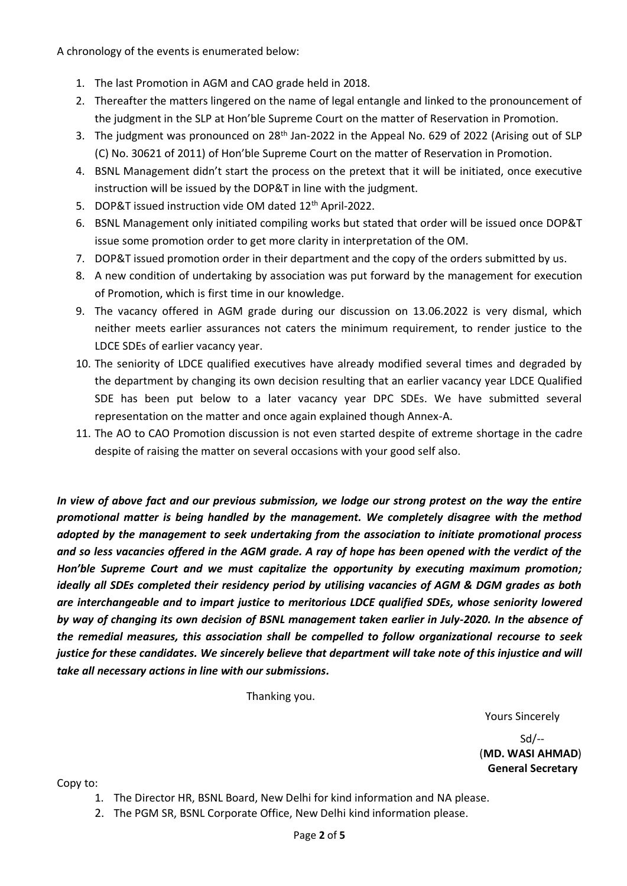A chronology of the events is enumerated below:

- 1. The last Promotion in AGM and CAO grade held in 2018.
- 2. Thereafter the matters lingered on the name of legal entangle and linked to the pronouncement of the judgment in the SLP at Hon'ble Supreme Court on the matter of Reservation in Promotion.
- 3. The judgment was pronounced on 28<sup>th</sup> Jan-2022 in the Appeal No. 629 of 2022 (Arising out of SLP (C) No. 30621 of 2011) of Hon'ble Supreme Court on the matter of Reservation in Promotion.
- 4. BSNL Management didn't start the process on the pretext that it will be initiated, once executive instruction will be issued by the DOP&T in line with the judgment.
- 5. DOP&T issued instruction vide OM dated 12<sup>th</sup> April-2022.
- 6. BSNL Management only initiated compiling works but stated that order will be issued once DOP&T issue some promotion order to get more clarity in interpretation of the OM.
- 7. DOP&T issued promotion order in their department and the copy of the orders submitted by us.
- 8. A new condition of undertaking by association was put forward by the management for execution of Promotion, which is first time in our knowledge.
- 9. The vacancy offered in AGM grade during our discussion on 13.06.2022 is very dismal, which neither meets earlier assurances not caters the minimum requirement, to render justice to the LDCE SDEs of earlier vacancy year.
- 10. The seniority of LDCE qualified executives have already modified several times and degraded by the department by changing its own decision resulting that an earlier vacancy year LDCE Qualified SDE has been put below to a later vacancy year DPC SDEs. We have submitted several representation on the matter and once again explained though Annex-A.
- 11. The AO to CAO Promotion discussion is not even started despite of extreme shortage in the cadre despite of raising the matter on several occasions with your good self also.

*In view of above fact and our previous submission, we lodge our strong protest on the way the entire promotional matter is being handled by the management. We completely disagree with the method adopted by the management to seek undertaking from the association to initiate promotional process and so less vacancies offered in the AGM grade. A ray of hope has been opened with the verdict of the Hon'ble Supreme Court and we must capitalize the opportunity by executing maximum promotion; ideally all SDEs completed their residency period by utilising vacancies of AGM & DGM grades as both are interchangeable and to impart justice to meritorious LDCE qualified SDEs, whose seniority lowered by way of changing its own decision of BSNL management taken earlier in July-2020. In the absence of the remedial measures, this association shall be compelled to follow organizational recourse to seek justice for these candidates. We sincerely believe that department will take note of this injustice and will take all necessary actions in line with our submissions.*

Thanking you.

Yours Sincerely

 Sd/-- (**MD. WASI AHMAD**) **General Secretary**

Copy to:

- 1. The Director HR, BSNL Board, New Delhi for kind information and NA please.
- 2. The PGM SR, BSNL Corporate Office, New Delhi kind information please.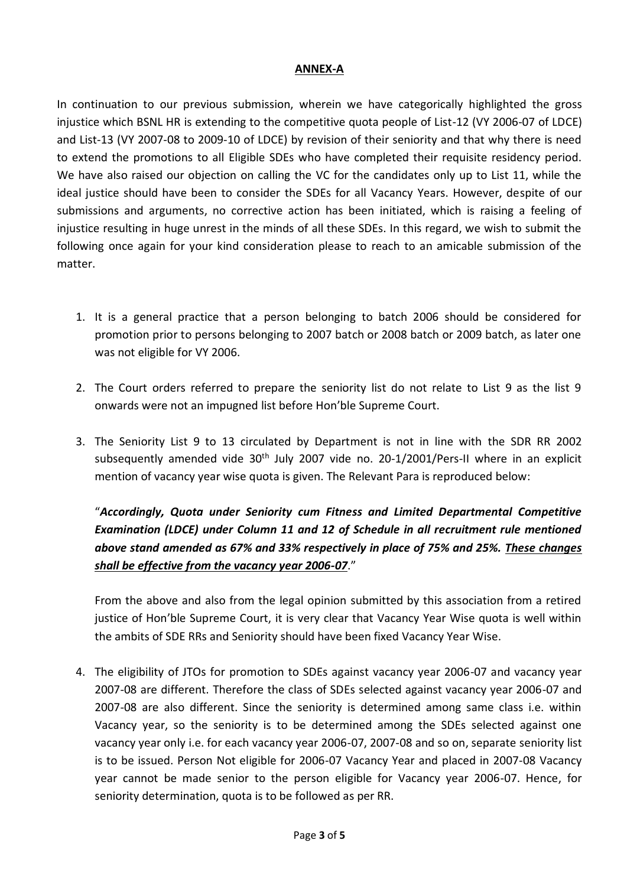## **ANNEX-A**

In continuation to our previous submission, wherein we have categorically highlighted the gross injustice which BSNL HR is extending to the competitive quota people of List-12 (VY 2006-07 of LDCE) and List-13 (VY 2007-08 to 2009-10 of LDCE) by revision of their seniority and that why there is need to extend the promotions to all Eligible SDEs who have completed their requisite residency period. We have also raised our objection on calling the VC for the candidates only up to List 11, while the ideal justice should have been to consider the SDEs for all Vacancy Years. However, despite of our submissions and arguments, no corrective action has been initiated, which is raising a feeling of injustice resulting in huge unrest in the minds of all these SDEs. In this regard, we wish to submit the following once again for your kind consideration please to reach to an amicable submission of the matter.

- 1. It is a general practice that a person belonging to batch 2006 should be considered for promotion prior to persons belonging to 2007 batch or 2008 batch or 2009 batch, as later one was not eligible for VY 2006.
- 2. The Court orders referred to prepare the seniority list do not relate to List 9 as the list 9 onwards were not an impugned list before Hon'ble Supreme Court.
- 3. The Seniority List 9 to 13 circulated by Department is not in line with the SDR RR 2002 subsequently amended vide 30<sup>th</sup> July 2007 vide no. 20-1/2001/Pers-II where in an explicit mention of vacancy year wise quota is given. The Relevant Para is reproduced below:

"*Accordingly, Quota under Seniority cum Fitness and Limited Departmental Competitive Examination (LDCE) under Column 11 and 12 of Schedule in all recruitment rule mentioned above stand amended as 67% and 33% respectively in place of 75% and 25%. These changes shall be effective from the vacancy year 2006-07*."

From the above and also from the legal opinion submitted by this association from a retired justice of Hon'ble Supreme Court, it is very clear that Vacancy Year Wise quota is well within the ambits of SDE RRs and Seniority should have been fixed Vacancy Year Wise.

4. The eligibility of JTOs for promotion to SDEs against vacancy year 2006-07 and vacancy year 2007-08 are different. Therefore the class of SDEs selected against vacancy year 2006-07 and 2007-08 are also different. Since the seniority is determined among same class i.e. within Vacancy year, so the seniority is to be determined among the SDEs selected against one vacancy year only i.e. for each vacancy year 2006-07, 2007-08 and so on, separate seniority list is to be issued. Person Not eligible for 2006-07 Vacancy Year and placed in 2007-08 Vacancy year cannot be made senior to the person eligible for Vacancy year 2006-07. Hence, for seniority determination, quota is to be followed as per RR.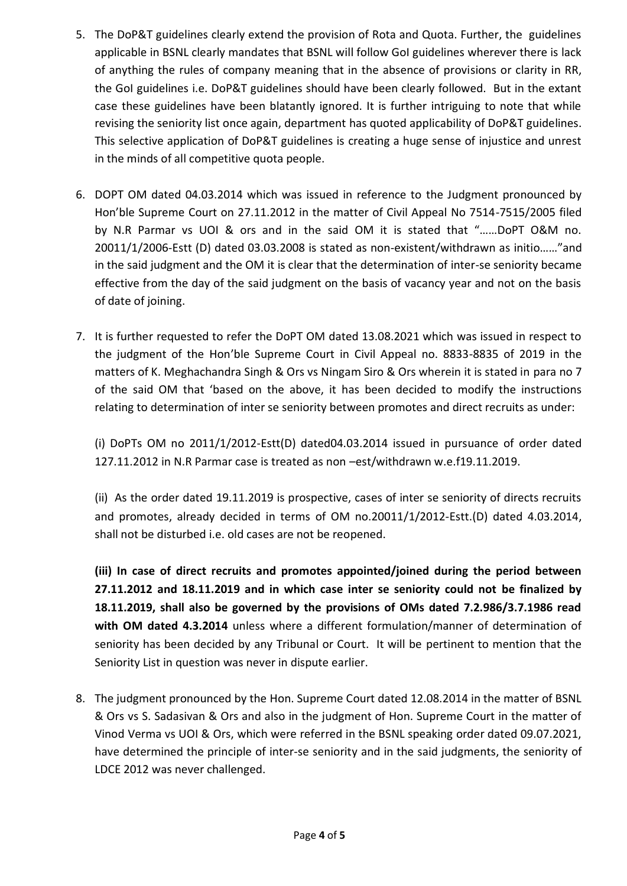- 5. The DoP&T guidelines clearly extend the provision of Rota and Quota. Further, the guidelines applicable in BSNL clearly mandates that BSNL will follow GoI guidelines wherever there is lack of anything the rules of company meaning that in the absence of provisions or clarity in RR, the GoI guidelines i.e. DoP&T guidelines should have been clearly followed. But in the extant case these guidelines have been blatantly ignored. It is further intriguing to note that while revising the seniority list once again, department has quoted applicability of DoP&T guidelines. This selective application of DoP&T guidelines is creating a huge sense of injustice and unrest in the minds of all competitive quota people.
- 6. DOPT OM dated 04.03.2014 which was issued in reference to the Judgment pronounced by Hon'ble Supreme Court on 27.11.2012 in the matter of Civil Appeal No 7514-7515/2005 filed by N.R Parmar vs UOI & ors and in the said OM it is stated that "……DoPT O&M no. 20011/1/2006-Estt (D) dated 03.03.2008 is stated as non-existent/withdrawn as initio……"and in the said judgment and the OM it is clear that the determination of inter-se seniority became effective from the day of the said judgment on the basis of vacancy year and not on the basis of date of joining.
- 7. It is further requested to refer the DoPT OM dated 13.08.2021 which was issued in respect to the judgment of the Hon'ble Supreme Court in Civil Appeal no. 8833-8835 of 2019 in the matters of K. Meghachandra Singh & Ors vs Ningam Siro & Ors wherein it is stated in para no 7 of the said OM that 'based on the above, it has been decided to modify the instructions relating to determination of inter se seniority between promotes and direct recruits as under:

(i) DoPTs OM no 2011/1/2012-Estt(D) dated04.03.2014 issued in pursuance of order dated 127.11.2012 in N.R Parmar case is treated as non –est/withdrawn w.e.f19.11.2019.

(ii) As the order dated 19.11.2019 is prospective, cases of inter se seniority of directs recruits and promotes, already decided in terms of OM no.20011/1/2012-Estt.(D) dated 4.03.2014, shall not be disturbed i.e. old cases are not be reopened.

**(iii) In case of direct recruits and promotes appointed/joined during the period between 27.11.2012 and 18.11.2019 and in which case inter se seniority could not be finalized by 18.11.2019, shall also be governed by the provisions of OMs dated 7.2.986/3.7.1986 read with OM dated 4.3.2014** unless where a different formulation/manner of determination of seniority has been decided by any Tribunal or Court. It will be pertinent to mention that the Seniority List in question was never in dispute earlier.

8. The judgment pronounced by the Hon. Supreme Court dated 12.08.2014 in the matter of BSNL & Ors vs S. Sadasivan & Ors and also in the judgment of Hon. Supreme Court in the matter of Vinod Verma vs UOI & Ors, which were referred in the BSNL speaking order dated 09.07.2021, have determined the principle of inter-se seniority and in the said judgments, the seniority of LDCE 2012 was never challenged.